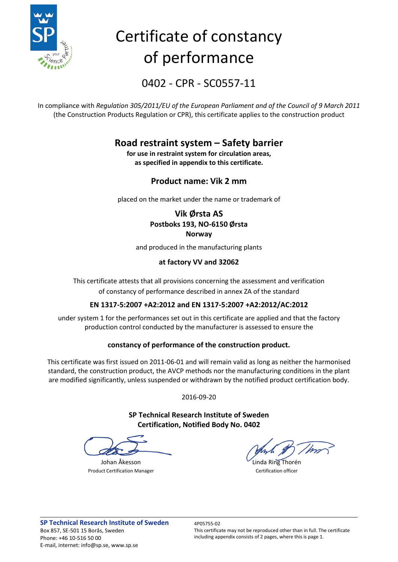

# Certificate of constancy of performance

0402 - CPR - SC0557-11

In compliance with *Regulation 305/2011/EU of the European Parliament and of the Council of 9 March 2011* (the Construction Products Regulation or CPR), this certificate applies to the construction product

## **Road restraint system – Safety barrier**

**for use in restraint system for circulation areas, as specified in appendix to this certificate.**

### **Product name: Vik 2 mm**

placed on the market under the name or trademark of

### **Vik Ørsta AS Postboks 193, NO-6150 Ørsta Norway**

and produced in the manufacturing plants

### **at factory VV and 32062**

This certificate attests that all provisions concerning the assessment and verification of constancy of performance described in annex ZA of the standard

### **EN 1317-5:2007 +A2:2012 and EN 1317-5:2007 +A2:2012/AC:2012**

under system 1 for the performances set out in this certificate are applied and that the factory production control conducted by the manufacturer is assessed to ensure the

### **constancy of performance of the construction product.**

This certificate was first issued on 2011-06-01 and will remain valid as long as neither the harmonised standard, the construction product, the AVCP methods nor the manufacturing conditions in the plant are modified significantly, unless suspended or withdrawn by the notified product certification body.

2016-09-20

**SP Technical Research Institute of Sweden Certification, Notified Body No. 0402**

Product Certification Manager **Certification Manager** Certification officer

Johan Åkesson **Linda Ring Thorén**